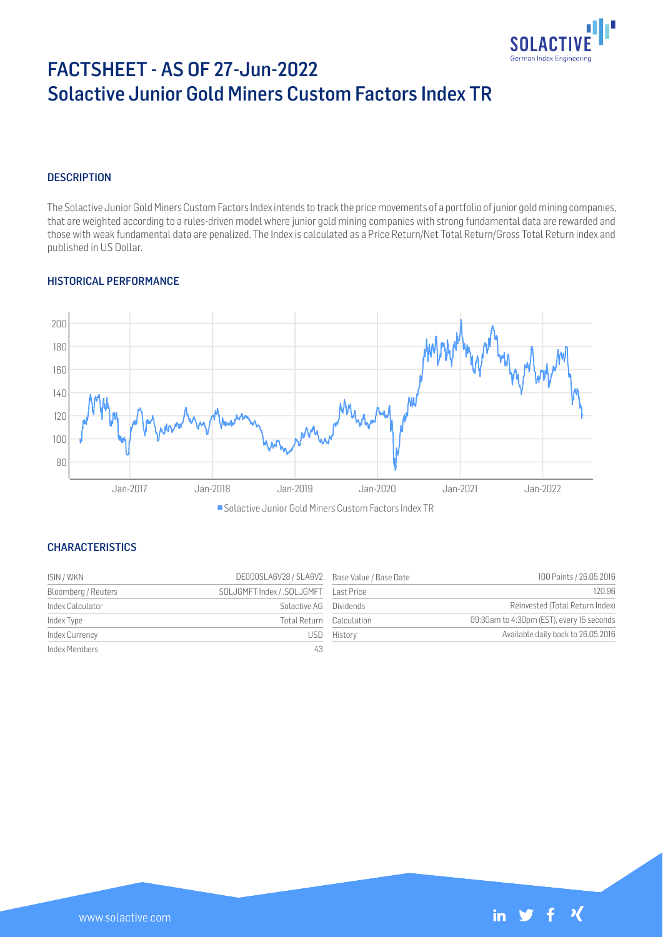

# FACTSHEET - AS OF 27-Jun-2022 Solactive Junior Gold Miners Custom Factors Index TR

# **DESCRIPTION**

The Solactive Junior Gold Miners Custom Factors Index intends to track the price movements of a portfolio of junior gold mining companies, that are weighted according to a rules-driven model where junior gold mining companies with strong fundamental data are rewarded and those with weak fundamental data are penalized. The Index is calculated as a Price Return/Net Total Return/Gross Total Return index and published in US Dollar.

## HISTORICAL PERFORMANCE



Solactive Junior Gold Miners Custom Factors Index TR

## **CHARACTERISTICS**

| ISIN / WKN          | DE000SLA6V28 / SLA6V2 Base Value / Base Date |                          | 100 Points / 26.05.2016                   |
|---------------------|----------------------------------------------|--------------------------|-------------------------------------------|
| Bloomberg / Reuters |                                              |                          | 120.96                                    |
| Index Calculator    | Solactive AG Dividends                       |                          | Reinvested (Total Return Index)           |
| Index Type          |                                              | Total Return Calculation | 09:30am to 4:30pm (EST), every 15 seconds |
| Index Currency      |                                              | USD History              | Available daily back to 26.05.2016        |
| Index Members       | 43                                           |                          |                                           |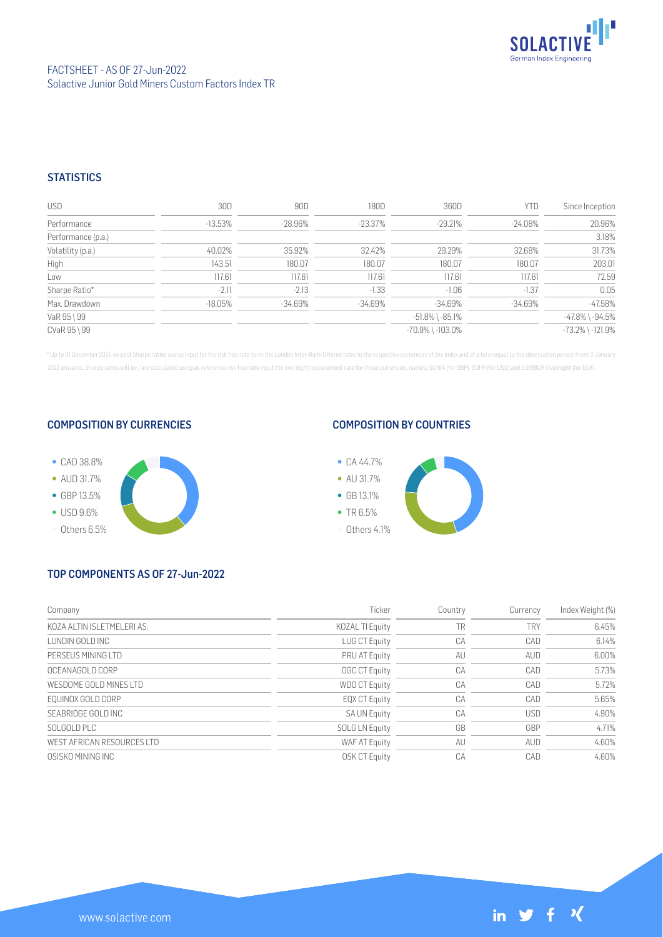

# **STATISTICS**

| <b>USD</b>         | 30D        | 90D       | 180D    | 360D                   | YTD        | Since Inception        |
|--------------------|------------|-----------|---------|------------------------|------------|------------------------|
| Performance        | $-13.53\%$ | -28.96%   | -23.37% | $-29.21%$              | $-24.08\%$ | 20.96%                 |
| Performance (p.a.) |            |           |         |                        |            | 3.18%                  |
| Volatility (p.a.)  | 40.02%     | 35.92%    | 32.42%  | 29.29%                 | 32.68%     | 31.73%                 |
| High               | 143.51     | 180.07    | 180.07  | 180.07                 | 180.07     | 203.01                 |
| Low                | 117.61     | 117.61    | 117.61  | 117.61                 | 117.61     | 72.59                  |
| Sharpe Ratio*      | $-2.11$    | $-2.13$   | $-1.33$ | $-1.06$                | $-1.37$    | 0.05                   |
| Max. Drawdown      | $-18.05\%$ | $-34.69%$ | -34.69% | -34.69%                | -34.69%    | $-47.58%$              |
| VaR 95 \ 99        |            |           |         | $-51.8\%$ \ $-85.1\%$  |            | $-47.8\%$ \ $-94.5\%$  |
| CVaR 95 \ 99       |            |           |         | $-70.9\%$ \ $-103.0\%$ |            | $-73.2\%$ \ $-121.9\%$ |

\* Up to 31 December 2021, ex-post Sharpe ratios use as input for the risk free rate term the London Inter-Bank Offered rates in the respective currencies of the index and at a term equal to the observation period. From 3 J 2022 onwards, Sharpe ratios will be / are calculated using as reference risk free rate input the overnight replacement rate for these currencies, namely SONIA (for GBP), SOFR (for USD) and EURIBOR Overnight (for EUR).

#### COMPOSITION BY CURRENCIES



# COMPOSITION BY COUNTRIES



# TOP COMPONENTS AS OF 27-Jun-2022

| Company                    | Ticker                | Country | Currency   | Index Weight (%) |
|----------------------------|-----------------------|---------|------------|------------------|
| KOZA ALTIN ISLETMELERI AS. | KOZAL TI Equity       | TR      | <b>TRY</b> | 6.45%            |
| I UNDIN GOLD INC.          | LUG CT Equity         | CA      | CAD        | 6.14%            |
| PERSEUS MINING LTD         | <b>PRU AT Equity</b>  | AU      | AUD        | 6.00%            |
| OCEANAGOLD CORP            | OGC CT Equity         | CA      | CAD        | 5.73%            |
| WESDOME GOLD MINES LTD     | WDO CT Equity         | CA      | CAD        | 5.72%            |
| EQUINOX GOLD CORP          | <b>EQX CT Equity</b>  | CA      | CAD        | 5.65%            |
| SFABRIDGE GOLD INC         | SA UN Equity          | CA      | <b>USD</b> | 4.90%            |
| SOLGOLD PLC                | <b>SOLG LN Equity</b> | GB      | GBP        | 4.71%            |
| WEST AFRICAN RESOURCES LTD | WAF AT Equity         | AU      | AUD        | 4.60%            |
| OSISKO MINING INC          | OSK CT Equity         | CA      | CAD        | 4.60%            |